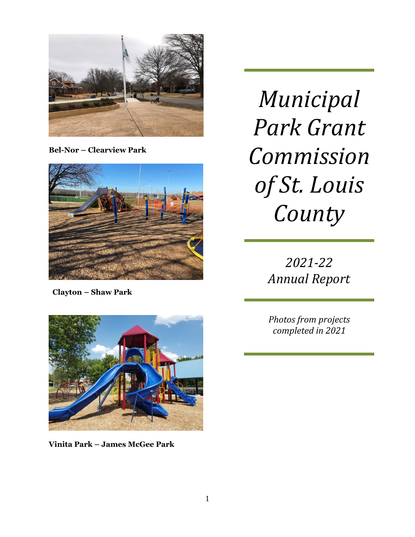

**Bel-Nor – Clearview Park**



 **Clayton – Shaw Park**

*Municipal Park Grant Commission of St. Louis County*

> *2021-22 Annual Report*

*Photos from projects completed in 2021*



**Vinita Park – James McGee Park**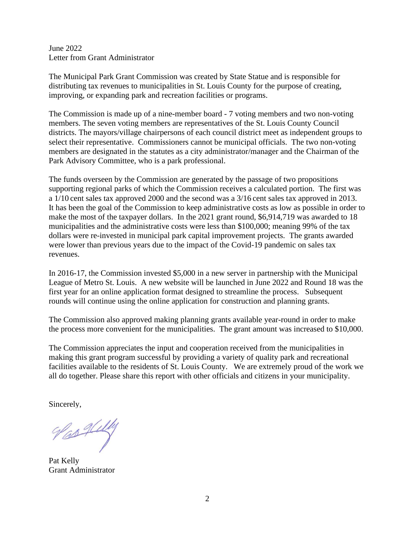June 2022 Letter from Grant Administrator

The Municipal Park Grant Commission was created by State Statue and is responsible for distributing tax revenues to municipalities in St. Louis County for the purpose of creating, improving, or expanding park and recreation facilities or programs.

The Commission is made up of a nine-member board - 7 voting members and two non-voting members. The seven voting members are representatives of the St. Louis County Council districts. The mayors/village chairpersons of each council district meet as independent groups to select their representative. Commissioners cannot be municipal officials. The two non-voting members are designated in the statutes as a city administrator/manager and the Chairman of the Park Advisory Committee, who is a park professional.

The funds overseen by the Commission are generated by the passage of two propositions supporting regional parks of which the Commission receives a calculated portion. The first was a 1/10 cent sales tax approved 2000 and the second was a 3/16 cent sales tax approved in 2013. It has been the goal of the Commission to keep administrative costs as low as possible in order to make the most of the taxpayer dollars. In the 2021 grant round, \$6,914,719 was awarded to 18 municipalities and the administrative costs were less than \$100,000; meaning 99% of the tax dollars were re-invested in municipal park capital improvement projects. The grants awarded were lower than previous years due to the impact of the Covid-19 pandemic on sales tax revenues.

In 2016-17, the Commission invested \$5,000 in a new server in partnership with the Municipal League of Metro St. Louis. A new website will be launched in June 2022 and Round 18 was the first year for an online application format designed to streamline the process. Subsequent rounds will continue using the online application for construction and planning grants.

The Commission also approved making planning grants available year-round in order to make the process more convenient for the municipalities. The grant amount was increased to \$10,000.

The Commission appreciates the input and cooperation received from the municipalities in making this grant program successful by providing a variety of quality park and recreational facilities available to the residents of St. Louis County. We are extremely proud of the work we all do together. Please share this report with other officials and citizens in your municipality.

Sincerely,

Vas Ally

Pat Kelly Grant Administrator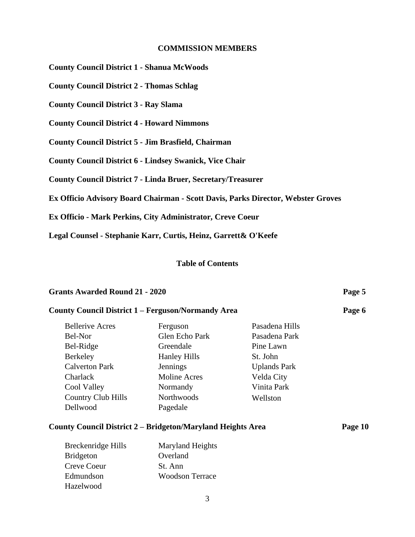#### **COMMISSION MEMBERS**

**County Council District 1 - Shanua McWoods**

**County Council District 2 - Thomas Schlag**

**County Council District 3 - Ray Slama**

**County Council District 4 - Howard Nimmons**

**County Council District 5 - Jim Brasfield, Chairman**

**County Council District 6 - Lindsey Swanick, Vice Chair**

**County Council District 7 - Linda Bruer, Secretary/Treasurer**

**Ex Officio Advisory Board Chairman - Scott Davis, Parks Director, Webster Groves**

**Ex Officio - Mark Perkins, City Administrator, Creve Coeur**

**Legal Counsel - Stephanie Karr, Curtis, Heinz, Garrett& O'Keefe**

#### **Table of Contents**

# **Grants Awarded Round 21 - 2020 Page 5**

Hazelwood

# **County Council District 1 – Ferguson/Normandy Area Page 6** Bellerive Acres Ferguson Pasadena Hills Bel-Nor Glen Echo Park Pasadena Park Bel-Ridge Greendale Pine Lawn Berkeley Hanley Hills St. John Calverton Park Jennings Uplands Park Charlack Moline Acres Velda City Cool Valley Normandy Vinita Park Country Club Hills Northwoods Wellston Dellwood Pagedale **County Council District 2 – Bridgeton/Maryland Heights Area Page 10** Breckenridge Hills Maryland Heights Bridgeton Overland Creve Coeur St. Ann Edmundson Woodson Terrace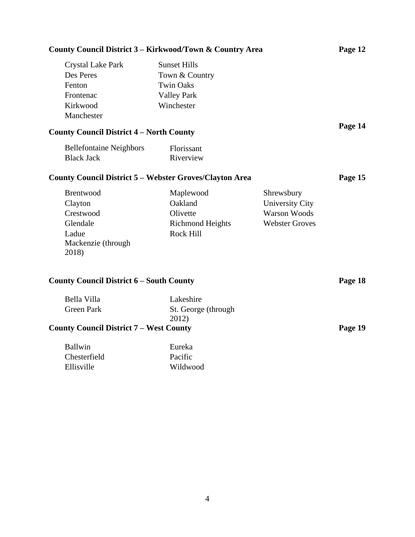| County Council District 3 – Kirkwood/Town & Country Area                               |                                                                                               |                                                                                      | Page 12 |
|----------------------------------------------------------------------------------------|-----------------------------------------------------------------------------------------------|--------------------------------------------------------------------------------------|---------|
| <b>Crystal Lake Park</b><br>Des Peres<br>Fenton<br>Frontenac<br>Kirkwood<br>Manchester | <b>Sunset Hills</b><br>Town & Country<br><b>Twin Oaks</b><br><b>Valley Park</b><br>Winchester |                                                                                      |         |
| <b>County Council District 4 - North County</b>                                        |                                                                                               |                                                                                      | Page 14 |
| <b>Bellefontaine Neighbors</b><br><b>Black Jack</b>                                    | Florissant<br>Riverview                                                                       |                                                                                      |         |
| <b>County Council District 5 – Webster Groves/Clayton Area</b>                         |                                                                                               |                                                                                      | Page 15 |
| Brentwood<br>Clayton<br>Crestwood<br>Glendale<br>Ladue<br>Mackenzie (through<br>2018)  | Maplewood<br>Oakland<br>Olivette<br><b>Richmond Heights</b><br>Rock Hill                      | Shrewsbury<br><b>University City</b><br><b>Warson Woods</b><br><b>Webster Groves</b> |         |
| <b>County Council District 6 – South County</b>                                        |                                                                                               |                                                                                      | Page 18 |
| Bella Villa<br><b>Green Park</b>                                                       | Lakeshire<br>St. George (through<br>2012)                                                     |                                                                                      |         |
| <b>County Council District 7 – West County</b>                                         |                                                                                               |                                                                                      | Page 19 |
| <b>Ballwin</b><br>Chesterfield<br>Ellisville                                           | Eureka<br>Pacific<br>Wildwood                                                                 |                                                                                      |         |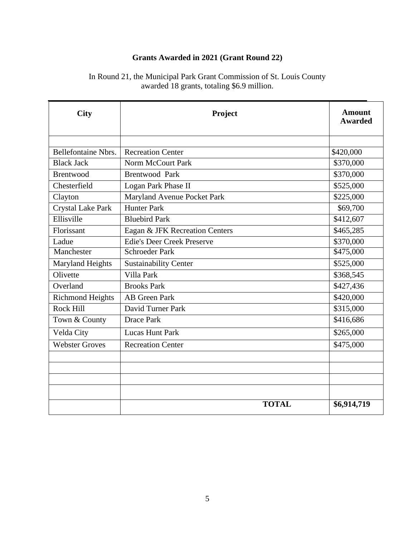# **Grants Awarded in 2021 (Grant Round 22)**

| <b>City</b>                | Project                           | <b>Amount</b><br><b>Awarded</b> |
|----------------------------|-----------------------------------|---------------------------------|
|                            |                                   |                                 |
| <b>Bellefontaine Nbrs.</b> | <b>Recreation Center</b>          | \$420,000                       |
| <b>Black Jack</b>          | <b>Norm McCourt Park</b>          | \$370,000                       |
| <b>Brentwood</b>           | <b>Brentwood Park</b>             | \$370,000                       |
| Chesterfield               | Logan Park Phase II               | \$525,000                       |
| Clayton                    | Maryland Avenue Pocket Park       | \$225,000                       |
| <b>Crystal Lake Park</b>   | <b>Hunter Park</b>                | \$69,700                        |
| Ellisville                 | <b>Bluebird Park</b>              | \$412,607                       |
| Florissant                 | Eagan & JFK Recreation Centers    | \$465,285                       |
| Ladue                      | <b>Edie's Deer Creek Preserve</b> | \$370,000                       |
| Manchester                 | <b>Schroeder Park</b>             | \$475,000                       |
| <b>Maryland Heights</b>    | <b>Sustainability Center</b>      | \$525,000                       |
| Olivette                   | Villa Park                        | \$368,545                       |
| Overland                   | <b>Brooks Park</b>                | \$427,436                       |
| <b>Richmond Heights</b>    | <b>AB</b> Green Park              | \$420,000                       |
| Rock Hill                  | David Turner Park                 | \$315,000                       |
| Town & County              | <b>Drace Park</b>                 | \$416,686                       |
| Velda City                 | <b>Lucas Hunt Park</b>            | \$265,000                       |
| <b>Webster Groves</b>      | <b>Recreation Center</b>          | \$475,000                       |
|                            |                                   |                                 |
|                            |                                   |                                 |
|                            |                                   |                                 |
|                            |                                   |                                 |
|                            | <b>TOTAL</b>                      | \$6,914,719                     |

In Round 21, the Municipal Park Grant Commission of St. Louis County awarded 18 grants, totaling \$6.9 million.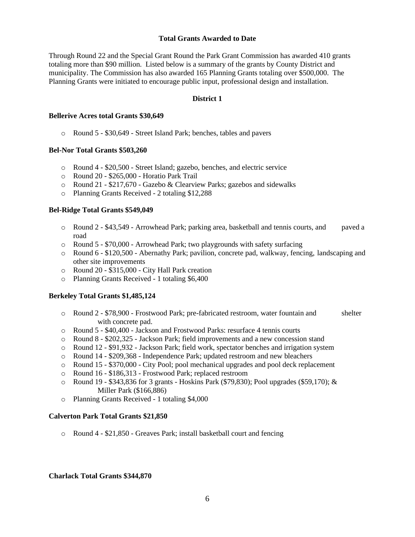#### **Total Grants Awarded to Date**

Through Round 22 and the Special Grant Round the Park Grant Commission has awarded 410 grants totaling more than \$90 million. Listed below is a summary of the grants by County District and municipality. The Commission has also awarded 165 Planning Grants totaling over \$500,000. The Planning Grants were initiated to encourage public input, professional design and installation.

# **District 1**

#### **Bellerive Acres total Grants \$30,649**

o Round 5 - \$30,649 - Street Island Park; benches, tables and pavers

#### **Bel-Nor Total Grants \$503,260**

- o Round 4 \$20,500 Street Island; gazebo, benches, and electric service
- o Round 20 \$265,000 Horatio Park Trail
- o Round 21 \$217,670 Gazebo & Clearview Parks; gazebos and sidewalks
- o Planning Grants Received 2 totaling \$12,288

#### **Bel-Ridge Total Grants \$549,049**

- o Round 2 \$43,549 Arrowhead Park; parking area, basketball and tennis courts, and paved a road
- $\circ$  Round 5 \$70,000 Arrowhead Park; two playgrounds with safety surfacing
- o Round 6 \$120,500 Abernathy Park; pavilion, concrete pad, walkway, fencing, landscaping and other site improvements
- o Round 20 \$315,000 City Hall Park creation
- o Planning Grants Received 1 totaling \$6,400

#### **Berkeley Total Grants \$1,485,124**

- o Round 2 \$78,900 Frostwood Park; pre-fabricated restroom, water fountain and shelter with concrete pad.
- o Round 5 \$40,400 Jackson and Frostwood Parks: resurface 4 tennis courts
- o Round 8 \$202,325 Jackson Park; field improvements and a new concession stand
- o Round 12 \$91,932 Jackson Park; field work, spectator benches and irrigation system
- o Round 14 \$209,368 Independence Park; updated restroom and new bleachers
- o Round 15 \$370,000 City Pool; pool mechanical upgrades and pool deck replacement
- o Round 16 \$186,313 Frostwood Park; replaced restroom
- $\circ$  Round 19 \$343,836 for 3 grants Hoskins Park (\$79,830); Pool upgrades (\$59,170); & Miller Park (\$166,886)
- o Planning Grants Received 1 totaling \$4,000

# **Calverton Park Total Grants \$21,850**

o Round 4 - \$21,850 - Greaves Park; install basketball court and fencing

# **Charlack Total Grants \$344,870**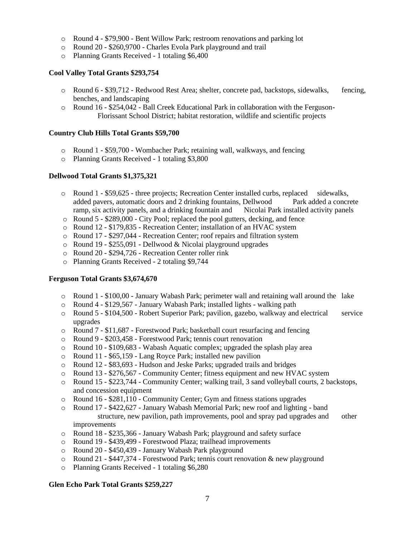- o Round 4 \$79,900 Bent Willow Park; restroom renovations and parking lot
- o Round 20 \$260,9700 Charles Evola Park playground and trail
- o Planning Grants Received 1 totaling \$6,400

# **Cool Valley Total Grants \$293,754**

- o Round 6 \$39,712 Redwood Rest Area; shelter, concrete pad, backstops, sidewalks, fencing, benches, and landscaping
- $\circ$  Round 16 \$254,042 Ball Creek Educational Park in collaboration with the Ferguson-Florissant School District; habitat restoration, wildlife and scientific projects

#### **Country Club Hills Total Grants \$59,700**

- o Round 1 \$59,700 Wombacher Park; retaining wall, walkways, and fencing
- o Planning Grants Received 1 totaling \$3,800

#### **Dellwood Total Grants \$1,375,321**

- o Round 1 \$59,625 three projects; Recreation Center installed curbs, replaced sidewalks, added pavers, automatic doors and 2 drinking fountains, Dellwood Park added a concrete ramp, six activity panels, and a drinking fountain and Nicolai Park installed activity panels
- o Round 5 \$289,000 City Pool; replaced the pool gutters, decking, and fence
- o Round 12 \$179,835 Recreation Center; installation of an HVAC system
- o Round 17 \$297,044 Recreation Center; roof repairs and filtration system
- o Round 19 \$255,091 Dellwood & Nicolai playground upgrades
- o Round 20 \$294,726 Recreation Center roller rink
- o Planning Grants Received 2 totaling \$9,744

#### **Ferguson Total Grants \$3,674,670**

- o Round 1 \$100,00 January Wabash Park; perimeter wall and retaining wall around the lake
- o Round 4 \$129,567 January Wabash Park; installed lights walking path
- o Round 5 \$104,500 Robert Superior Park; pavilion, gazebo, walkway and electrical service upgrades
- o Round 7 \$11,687 Forestwood Park; basketball court resurfacing and fencing
- o Round 9 \$203,458 Forestwood Park; tennis court renovation
- o Round 10 \$109,683 Wabash Aquatic complex; upgraded the splash play area
- o Round 11 \$65,159 Lang Royce Park; installed new pavilion
- o Round 12 \$83,693 Hudson and Jeske Parks; upgraded trails and bridges
- o Round 13 \$276,567 Community Center; fitness equipment and new HVAC system
- o Round 15 \$223,744 Community Center; walking trail, 3 sand volleyball courts, 2 backstops, and concession equipment
- o Round 16 \$281,110 Community Center; Gym and fitness stations upgrades
- o Round 17 \$422,627 January Wabash Memorial Park; new roof and lighting band structure, new pavilion, path improvements, pool and spray pad upgrades and other improvements
- o Round 18 \$235,366 January Wabash Park; playground and safety surface
- o Round 19 \$439,499 Forestwood Plaza; trailhead improvements
- o Round 20 \$450,439 January Wabash Park playground
- o Round 21 \$447,374 Forestwood Park; tennis court renovation & new playground
- o Planning Grants Received 1 totaling \$6,280

# **Glen Echo Park Total Grants \$259,227**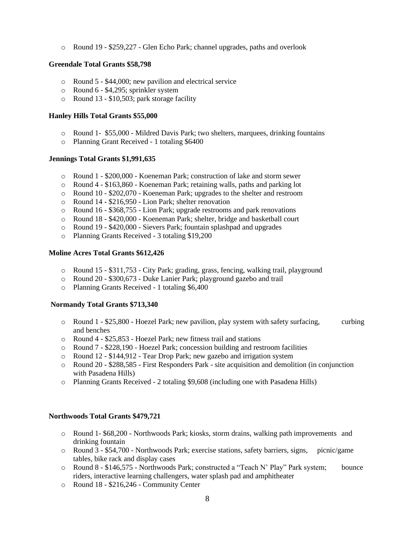o Round 19 - \$259,227 - Glen Echo Park; channel upgrades, paths and overlook

### **Greendale Total Grants \$58,798**

- o Round 5 \$44,000; new pavilion and electrical service
- o Round 6 \$4,295; sprinkler system
- o Round 13 \$10,503; park storage facility

#### **Hanley Hills Total Grants \$55,000**

- o Round 1- \$55,000 Mildred Davis Park; two shelters, marquees, drinking fountains
- o Planning Grant Received 1 totaling \$6400

#### **Jennings Total Grants \$1,991,635**

- o Round 1 \$200,000 Koeneman Park; construction of lake and storm sewer
- o Round 4 \$163,860 Koeneman Park; retaining walls, paths and parking lot
- o Round 10 \$202,070 Koeneman Park; upgrades to the shelter and restroom
- o Round 14 \$216,950 Lion Park; shelter renovation
- o Round 16 \$368,755 Lion Park; upgrade restrooms and park renovations
- o Round 18 \$420,000 Koeneman Park; shelter, bridge and basketball court
- o Round 19 \$420,000 Sievers Park; fountain splashpad and upgrades
- o Planning Grants Received 3 totaling \$19,200

#### **Moline Acres Total Grants \$612,426**

- o Round 15 \$311,753 City Park; grading, grass, fencing, walking trail, playground
- o Round 20 \$300,673 Duke Lanier Park; playground gazebo and trail
- o Planning Grants Received 1 totaling \$6,400

# **Normandy Total Grants \$713,340**

- o Round 1 \$25,800 Hoezel Park; new pavilion, play system with safety surfacing, curbing and benches
- o Round 4 \$25,853 Hoezel Park; new fitness trail and stations
- o Round 7 \$228,190 Hoezel Park; concession building and restroom facilities
- o Round 12 \$144,912 Tear Drop Park; new gazebo and irrigation system
- o Round 20 \$288,585 First Responders Park site acquisition and demolition (in conjunction with Pasadena Hills)
- o Planning Grants Received 2 totaling \$9,608 (including one with Pasadena Hills)

# **Northwoods Total Grants \$479,721**

- o Round 1- \$68,200 Northwoods Park; kiosks, storm drains, walking path improvements and drinking fountain
- o Round 3 \$54,700 Northwoods Park; exercise stations, safety barriers, signs, picnic/game tables, bike rack and display cases
- o Round 8 \$146,575 Northwoods Park; constructed a "Teach N' Play" Park system; bounce riders, interactive learning challengers, water splash pad and amphitheater
- o Round 18 \$216,246 Community Center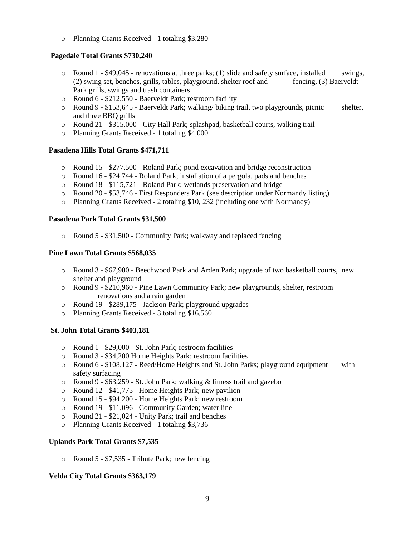o Planning Grants Received - 1 totaling \$3,280

# **Pagedale Total Grants \$730,240**

- $\circ$  Round 1 \$49,045 renovations at three parks; (1) slide and safety surface, installed swings, (2) swing set, benches, grills, tables, playground, shelter roof and fencing, (3) Baerveldt Park grills, swings and trash containers
- o Round 6 \$212,550 Baerveldt Park; restroom facility
- o Round 9 \$153,645 Baerveldt Park; walking/ biking trail, two playgrounds, picnic shelter, and three BBQ grills
- o Round 21 \$315,000 City Hall Park; splashpad, basketball courts, walking trail
- o Planning Grants Received 1 totaling \$4,000

# **Pasadena Hills Total Grants \$471,711**

- o Round 15 \$277,500 Roland Park; pond excavation and bridge reconstruction
- o Round 16 \$24,744 Roland Park; installation of a pergola, pads and benches
- o Round 18 \$115,721 Roland Park; wetlands preservation and bridge
- o Round 20 \$53,746 First Responders Park (see description under Normandy listing)
- o Planning Grants Received 2 totaling \$10, 232 (including one with Normandy)

# **Pasadena Park Total Grants \$31,500**

o Round 5 - \$31,500 - Community Park; walkway and replaced fencing

# **Pine Lawn Total Grants \$568,035**

- o Round 3 \$67,900 Beechwood Park and Arden Park; upgrade of two basketball courts, new shelter and playground
- o Round 9 \$210,960 Pine Lawn Community Park; new playgrounds, shelter, restroom renovations and a rain garden
- o Round 19 \$289,175 Jackson Park; playground upgrades
- o Planning Grants Received 3 totaling \$16,560

# **St. John Total Grants \$403,181**

- o Round 1 \$29,000 St. John Park; restroom facilities
- o Round 3 \$34,200 Home Heights Park; restroom facilities
- $\circ$  Round 6 \$108,127 Reed/Home Heights and St. John Parks; playground equipment with safety surfacing
- o Round 9 \$63,259 St. John Park; walking & fitness trail and gazebo
- o Round 12 \$41,775 Home Heights Park; new pavilion
- o Round 15 \$94,200 Home Heights Park; new restroom
- o Round 19 \$11,096 Community Garden; water line
- o Round 21 \$21,024 Unity Park; trail and benches
- o Planning Grants Received 1 totaling \$3,736

# **Uplands Park Total Grants \$7,535**

o Round 5 - \$7,535 - Tribute Park; new fencing

# **Velda City Total Grants \$363,179**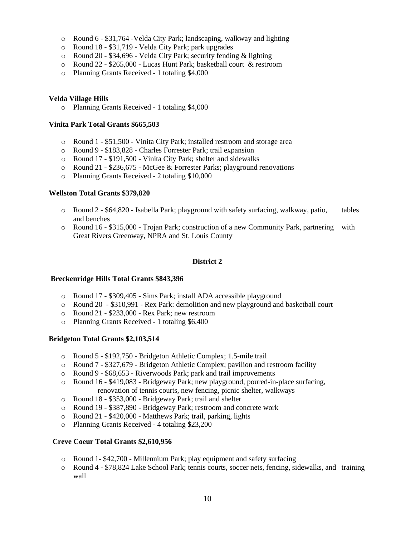- o Round 6 \$31,764 -Velda City Park; landscaping, walkway and lighting
- o Round 18 \$31,719 Velda City Park; park upgrades
- o Round 20 \$34,696 Velda City Park; security fending & lighting
- o Round 22 \$265,000 Lucas Hunt Park; basketball court & restroom
- o Planning Grants Received 1 totaling \$4,000

#### **Velda Village Hills**

o Planning Grants Received - 1 totaling \$4,000

### **Vinita Park Total Grants \$665,503**

- o Round 1 \$51,500 Vinita City Park; installed restroom and storage area
- o Round 9 \$183,828 Charles Forrester Park; trail expansion
- o Round 17 \$191,500 Vinita City Park; shelter and sidewalks
- o Round 21 \$236,675 McGee & Forrester Parks; playground renovations
- o Planning Grants Received 2 totaling \$10,000

#### **Wellston Total Grants \$379,820**

- o Round 2 \$64,820 Isabella Park; playground with safety surfacing, walkway, patio, tables and benches
- o Round 16 \$315,000 Trojan Park; construction of a new Community Park, partnering with Great Rivers Greenway, NPRA and St. Louis County

# **District 2**

#### **Breckenridge Hills Total Grants \$843,396**

- o Round 17 \$309,405 Sims Park; install ADA accessible playground
- o Round 20 \$310,991 Rex Park: demolition and new playground and basketball court
- o Round 21 \$233,000 Rex Park; new restroom
- o Planning Grants Received 1 totaling \$6,400

#### **Bridgeton Total Grants \$2,103,514**

- o Round 5 \$192,750 Bridgeton Athletic Complex; 1.5-mile trail
- o Round 7 \$327,679 Bridgeton Athletic Complex; pavilion and restroom facility
- o Round 9 \$68,653 Riverwoods Park; park and trail improvements
- o Round 16 \$419,083 Bridgeway Park; new playground, poured-in-place surfacing, renovation of tennis courts, new fencing, picnic shelter, walkways
- o Round 18 \$353,000 Bridgeway Park; trail and shelter
- o Round 19 \$387,890 Bridgeway Park; restroom and concrete work
- o Round 21 \$420,000 Matthews Park; trail, parking, lights
- o Planning Grants Received 4 totaling \$23,200

# **Creve Coeur Total Grants \$2,610,956**

- o Round 1- \$42,700 Millennium Park; play equipment and safety surfacing
- o Round 4 \$78,824 Lake School Park; tennis courts, soccer nets, fencing, sidewalks, and training wall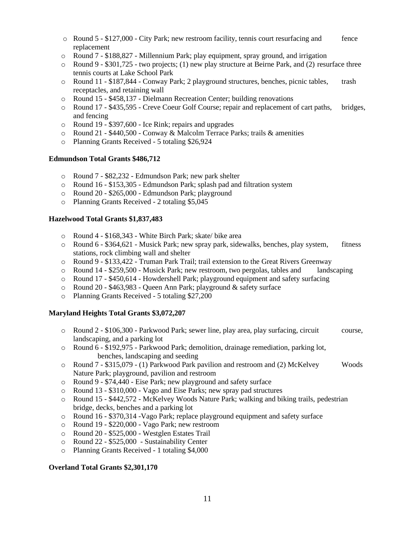- $\circ$  Round 5 \$127,000 City Park; new restroom facility, tennis court resurfacing and fence replacement
- o Round 7 \$188,827 Millennium Park; play equipment, spray ground, and irrigation
- $\circ$  Round 9 \$301,725 two projects; (1) new play structure at Beirne Park, and (2) resurface three tennis courts at Lake School Park
- o Round 11 \$187,844 Conway Park; 2 playground structures, benches, picnic tables, trash receptacles, and retaining wall
- o Round 15 \$458,137 Dielmann Recreation Center; building renovations
- o Round 17 \$435,595 Creve Coeur Golf Course; repair and replacement of cart paths, bridges, and fencing
- o Round 19 \$397,600 Ice Rink; repairs and upgrades
- $\circ$  Round 21 \$440,500 Conway & Malcolm Terrace Parks; trails & amenities
- o Planning Grants Received 5 totaling \$26,924

#### **Edmundson Total Grants \$486,712**

- o Round 7 \$82,232 Edmundson Park; new park shelter
- o Round 16 \$153,305 Edmundson Park; splash pad and filtration system
- o Round 20 \$265,000 Edmundson Park; playground
- o Planning Grants Received 2 totaling \$5,045

# **Hazelwood Total Grants \$1,837,483**

- o Round 4 \$168,343 White Birch Park; skate/ bike area
- o Round 6 \$364,621 Musick Park; new spray park, sidewalks, benches, play system, fitness stations, rock climbing wall and shelter
- o Round 9 \$133,422 Truman Park Trail; trail extension to the Great Rivers Greenway
- o Round 14 \$259,500 Musick Park; new restroom, two pergolas, tables and landscaping
- o Round 17 \$450,614 Howdershell Park; playground equipment and safety surfacing
- o Round 20 \$463,983 Queen Ann Park; playground & safety surface
- o Planning Grants Received 5 totaling \$27,200

# **Maryland Heights Total Grants \$3,072,207**

- o Round 2 \$106,300 Parkwood Park; sewer line, play area, play surfacing, circuit course, landscaping, and a parking lot
- o Round 6 \$192,975 Parkwood Park; demolition, drainage remediation, parking lot, benches, landscaping and seeding
- o Round 7 \$315,079 (1) Parkwood Park pavilion and restroom and (2) McKelvey Woods Nature Park; playground, pavilion and restroom
- o Round 9 \$74,440 Eise Park; new playground and safety surface
- o Round 13 \$310,000 Vago and Eise Parks; new spray pad structures
- o Round 15 \$442,572 McKelvey Woods Nature Park; walking and biking trails, pedestrian bridge, decks, benches and a parking lot
- o Round 16 \$370,314 -Vago Park; replace playground equipment and safety surface
- o Round 19 \$220,000 Vago Park; new restroom
- o Round 20 \$525,000 Westglen Estates Trail
- o Round 22 \$525,000 Sustainability Center
- o Planning Grants Received 1 totaling \$4,000

#### **Overland Total Grants \$2,301,170**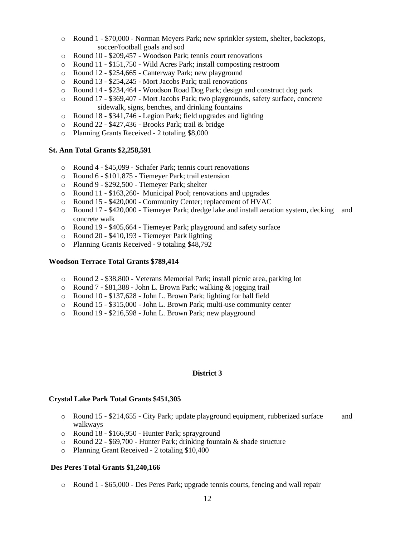- o Round 1 \$70,000 Norman Meyers Park; new sprinkler system, shelter, backstops, soccer/football goals and sod
- o Round 10 \$209,457 Woodson Park; tennis court renovations
- o Round 11 \$151,750 Wild Acres Park; install composting restroom
- o Round 12 \$254,665 Canterway Park; new playground
- o Round 13 \$254,245 Mort Jacobs Park; trail renovations
- o Round 14 \$234,464 Woodson Road Dog Park; design and construct dog park
- o Round 17 \$369,407 Mort Jacobs Park; two playgrounds, safety surface, concrete sidewalk, signs, benches, and drinking fountains
- o Round 18 \$341,746 Legion Park; field upgrades and lighting
- o Round 22 \$427,436 Brooks Park; trail & bridge
- o Planning Grants Received 2 totaling \$8,000

#### **St. Ann Total Grants \$2,258,591**

- o Round 4 \$45,099 Schafer Park; tennis court renovations
- o Round 6 \$101,875 Tiemeyer Park; trail extension
- o Round 9 \$292,500 Tiemeyer Park; shelter
- o Round 11 \$163,260- Municipal Pool; renovations and upgrades
- o Round 15 \$420,000 Community Center; replacement of HVAC
- o Round 17 \$420,000 Tiemeyer Park; dredge lake and install aeration system, decking and concrete walk
- o Round 19 \$405,664 Tiemeyer Park; playground and safety surface
- o Round 20 \$410,193 Tiemeyer Park lighting
- o Planning Grants Received 9 totaling \$48,792

#### **Woodson Terrace Total Grants \$789,414**

- o Round 2 \$38,800 Veterans Memorial Park; install picnic area, parking lot
- o Round 7 \$81,388 John L. Brown Park; walking & jogging trail
- o Round 10 \$137,628 John L. Brown Park; lighting for ball field
- o Round 15 \$315,000 John L. Brown Park; multi-use community center
- o Round 19 \$216,598 John L. Brown Park; new playground

#### **District 3**

#### **Crystal Lake Park Total Grants \$451,305**

- o Round 15 \$214,655 City Park; update playground equipment, rubberized surface and walkways
- o Round 18 \$166,950 Hunter Park; sprayground
- o Round 22 \$69,700 Hunter Park; drinking fountain & shade structure
- o Planning Grant Received 2 totaling \$10,400

#### **Des Peres Total Grants \$1,240,166**

o Round 1 - \$65,000 - Des Peres Park; upgrade tennis courts, fencing and wall repair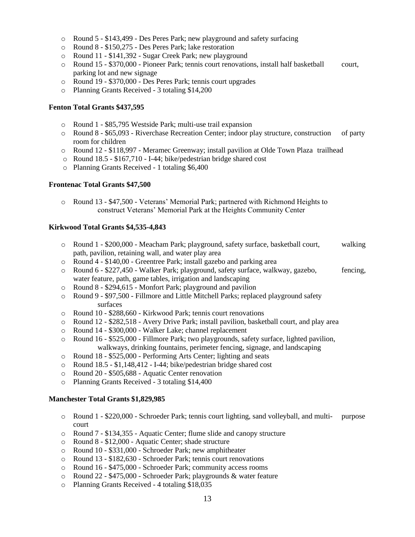- o Round 5 \$143,499 Des Peres Park; new playground and safety surfacing
- o Round 8 \$150,275 Des Peres Park; lake restoration
- o Round 11 \$141,392 Sugar Creek Park; new playground
- o Round 15 \$370,000 Pioneer Park; tennis court renovations, install half basketball court, parking lot and new signage
- o Round 19 \$370,000 Des Peres Park; tennis court upgrades
- o Planning Grants Received 3 totaling \$14,200

#### **Fenton Total Grants \$437,595**

- o Round 1 \$85,795 Westside Park; multi-use trail expansion
- o Round 8 \$65,093 Riverchase Recreation Center; indoor play structure, construction of party room for children
- o Round 12 \$118,997 Meramec Greenway; install pavilion at Olde Town Plaza trailhead
- o Round 18.5 \$167,710 I-44; bike/pedestrian bridge shared cost
- o Planning Grants Received 1 totaling \$6,400

#### **Frontenac Total Grants \$47,500**

o Round 13 - \$47,500 - Veterans' Memorial Park; partnered with Richmond Heights to construct Veterans' Memorial Park at the Heights Community Center

#### **Kirkwood Total Grants \$4,535-4,843**

- o Round 1 \$200,000 Meacham Park; playground, safety surface, basketball court, walking path, pavilion, retaining wall, and water play area
- o Round 4 \$140,00 Greentree Park; install gazebo and parking area
- o Round 6 \$227,450 Walker Park; playground, safety surface, walkway, gazebo, fencing, water feature, path, game tables, irrigation and landscaping
- o Round 8 \$294,615 Monfort Park; playground and pavilion
- o Round 9 \$97,500 Fillmore and Little Mitchell Parks; replaced playground safety surfaces
- o Round 10 \$288,660 Kirkwood Park; tennis court renovations
- o Round 12 \$282,518 Avery Drive Park; install pavilion, basketball court, and play area
- o Round 14 \$300,000 Walker Lake; channel replacement
- o Round 16 \$525,000 Fillmore Park; two playgrounds, safety surface, lighted pavilion, walkways, drinking fountains, perimeter fencing, signage, and landscaping
- o Round 18 \$525,000 Performing Arts Center; lighting and seats
- o Round 18.5 \$1,148,412 I-44; bike/pedestrian bridge shared cost
- o Round 20 \$505,688 Aquatic Center renovation
- o Planning Grants Received 3 totaling \$14,400

# **Manchester Total Grants \$1,829,985**

- o Round 1 \$220,000 Schroeder Park; tennis court lighting, sand volleyball, and multi- purpose court
- o Round 7 \$134,355 Aquatic Center; flume slide and canopy structure
- o Round 8 \$12,000 Aquatic Center; shade structure
- o Round 10 \$331,000 Schroeder Park; new amphitheater
- o Round 13 \$182,630 Schroeder Park; tennis court renovations
- o Round 16 \$475,000 Schroeder Park; community access rooms
- o Round 22 \$475,000 Schroeder Park; playgrounds & water feature
- o Planning Grants Received 4 totaling \$18,035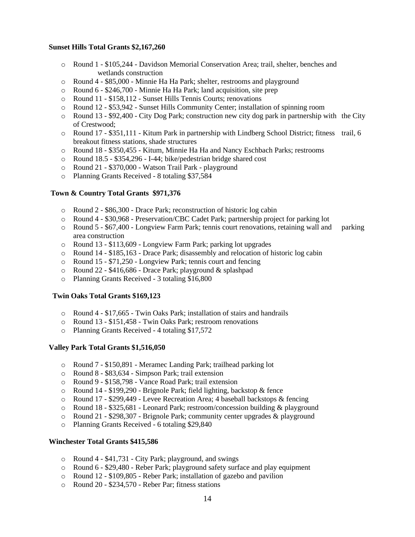### **Sunset Hills Total Grants \$2,167,260**

- o Round 1 \$105,244 Davidson Memorial Conservation Area; trail, shelter, benches and wetlands construction
- o Round 4 \$85,000 Minnie Ha Ha Park; shelter, restrooms and playground
- o Round 6 \$246,700 Minnie Ha Ha Park; land acquisition, site prep
- o Round 11 \$158,112 Sunset Hills Tennis Courts; renovations
- o Round 12 \$53,942 Sunset Hills Community Center; installation of spinning room
- $\circ$  Round 13 \$92,400 City Dog Park; construction new city dog park in partnership with the City of Crestwood;
- o Round 17 \$351,111 Kitum Park in partnership with Lindberg School District; fitness trail, 6 breakout fitness stations, shade structures
- o Round 18 \$350,455 Kitum, Minnie Ha Ha and Nancy Eschbach Parks; restrooms
- o Round 18.5 \$354,296 I-44; bike/pedestrian bridge shared cost
- o Round 21 \$370,000 Watson Trail Park playground
- o Planning Grants Received 8 totaling \$37,584

# **Town & Country Total Grants \$971,376**

- o Round 2 \$86,300 Drace Park; reconstruction of historic log cabin
- o Round 4 \$30,968 Preservation/CBC Cadet Park; partnership project for parking lot
- $\circ$  Round 5 \$67,400 Longview Farm Park; tennis court renovations, retaining wall and parking area construction
- o Round 13 \$113,609 Longview Farm Park; parking lot upgrades
- o Round 14 \$185,163 Drace Park; disassembly and relocation of historic log cabin
- o Round 15 \$71,250 Longview Park; tennis court and fencing
- o Round 22 \$416,686 Drace Park; playground & splashpad
- o Planning Grants Received 3 totaling \$16,800

#### **Twin Oaks Total Grants \$169,123**

- o Round 4 \$17,665 Twin Oaks Park; installation of stairs and handrails
- o Round 13 \$151,458 Twin Oaks Park; restroom renovations
- o Planning Grants Received 4 totaling \$17,572

#### **Valley Park Total Grants \$1,516,050**

- o Round 7 \$150,891 Meramec Landing Park; trailhead parking lot
- o Round 8 \$83,634 Simpson Park; trail extension
- o Round 9 \$158,798 Vance Road Park; trail extension
- o Round 14 \$199,290 Brignole Park; field lighting, backstop & fence
- o Round 17 \$299,449 Levee Recreation Area; 4 baseball backstops & fencing
- o Round 18 \$325,681 Leonard Park; restroom/concession building & playground
- o Round 21 \$298,307 Brignole Park; community center upgrades & playground
- o Planning Grants Received 6 totaling \$29,840

# **Winchester Total Grants \$415,586**

- o Round 4 \$41,731 City Park; playground, and swings
- o Round 6 \$29,480 Reber Park; playground safety surface and play equipment
- o Round 12 \$109,805 Reber Park; installation of gazebo and pavilion
- o Round 20 \$234,570 Reber Par; fitness stations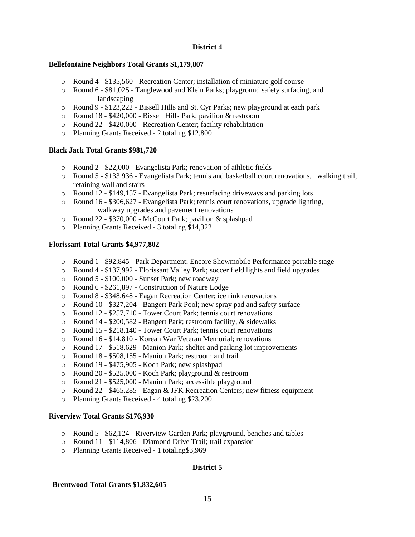#### **District 4**

# **Bellefontaine Neighbors Total Grants \$1,179,807**

- o Round 4 \$135,560 Recreation Center; installation of miniature golf course
- o Round 6 \$81,025 Tanglewood and Klein Parks; playground safety surfacing, and landscaping
- o Round 9 \$123,222 Bissell Hills and St. Cyr Parks; new playground at each park
- o Round 18 \$420,000 Bissell Hills Park; pavilion & restroom
- o Round 22 \$420,000 Recreation Center; facility rehabilitation
- o Planning Grants Received 2 totaling \$12,800

# **Black Jack Total Grants \$981,720**

- o Round 2 \$22,000 Evangelista Park; renovation of athletic fields
- o Round 5 \$133,936 Evangelista Park; tennis and basketball court renovations, walking trail, retaining wall and stairs
- o Round 12 \$149,157 Evangelista Park; resurfacing driveways and parking lots
- o Round 16 \$306,627 Evangelista Park; tennis court renovations, upgrade lighting, walkway upgrades and pavement renovations
- o Round 22 \$370,000 McCourt Park; pavilion & splashpad
- o Planning Grants Received 3 totaling \$14,322

# **Florissant Total Grants \$4,977,802**

- o Round 1 \$92,845 Park Department; Encore Showmobile Performance portable stage
- o Round 4 \$137,992 Florissant Valley Park; soccer field lights and field upgrades
- o Round 5 \$100,000 Sunset Park; new roadway
- o Round 6 \$261,897 Construction of Nature Lodge
- o Round 8 \$348,648 Eagan Recreation Center; ice rink renovations
- o Round 10 \$327,204 Bangert Park Pool; new spray pad and safety surface
- o Round 12 \$257,710 Tower Court Park; tennis court renovations
- o Round 14 \$200,582 Bangert Park; restroom facility, & sidewalks
- o Round 15 \$218,140 Tower Court Park; tennis court renovations
- o Round 16 \$14,810 Korean War Veteran Memorial; renovations
- o Round 17 \$518,629 Manion Park; shelter and parking lot improvements
- o Round 18 \$508,155 Manion Park; restroom and trail
- o Round 19 \$475,905 Koch Park; new splashpad
- o Round 20 \$525,000 Koch Park; playground & restroom
- o Round 21 \$525,000 Manion Park; accessible playground
- $\circ$  Round 22 \$465,285 Eagan & JFK Recreation Centers; new fitness equipment
- o Planning Grants Received 4 totaling \$23,200

# **Riverview Total Grants \$176,930**

- o Round 5 \$62,124 Riverview Garden Park; playground, benches and tables
- o Round 11 \$114,806 Diamond Drive Trail; trail expansion
- o Planning Grants Received 1 totaling\$3,969

# **District 5**

# **Brentwood Total Grants \$1,832,605**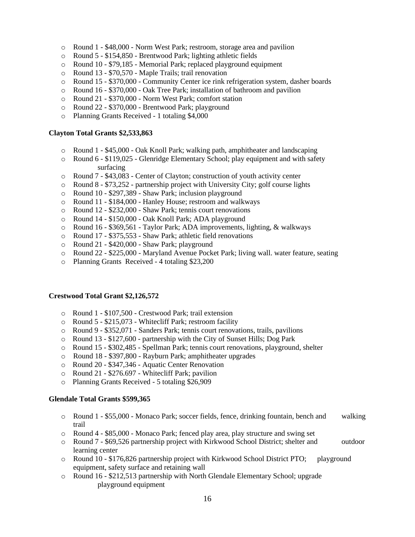- o Round 1 \$48,000 Norm West Park; restroom, storage area and pavilion
- o Round 5 \$154,850 Brentwood Park; lighting athletic fields
- o Round 10 \$79,185 Memorial Park; replaced playground equipment
- o Round 13 \$70,570 Maple Trails; trail renovation
- o Round 15 \$370,000 Community Center ice rink refrigeration system, dasher boards
- o Round 16 \$370,000 Oak Tree Park; installation of bathroom and pavilion
- o Round 21 \$370,000 Norm West Park; comfort station
- o Round 22 \$370,000 Brentwood Park; playground
- o Planning Grants Received 1 totaling \$4,000

#### **Clayton Total Grants \$2,533,863**

- o Round 1 \$45,000 Oak Knoll Park; walking path, amphitheater and landscaping
- o Round 6 \$119,025 Glenridge Elementary School; play equipment and with safety surfacing
- o Round 7 \$43,083 Center of Clayton; construction of youth activity center
- $\circ$  Round 8 \$73,252 partnership project with University City; golf course lights
- o Round 10 \$297,389 Shaw Park; inclusion playground
- o Round 11 \$184,000 Hanley House; restroom and walkways
- o Round 12 \$232,000 Shaw Park; tennis court renovations
- o Round 14 \$150,000 Oak Knoll Park; ADA playground
- o Round 16 \$369,561 Taylor Park; ADA improvements, lighting, & walkways
- o Round 17 \$375,553 Shaw Park; athletic field renovations
- o Round 21 \$420,000 Shaw Park; playground
- o Round 22 \$225,000 Maryland Avenue Pocket Park; living wall. water feature, seating
- o Planning Grants Received 4 totaling \$23,200

#### **Crestwood Total Grant \$2,126,572**

- o Round 1 \$107,500 Crestwood Park; trail extension
- o Round 5 \$215,073 Whitecliff Park; restroom facility
- o Round 9 \$352,071 Sanders Park; tennis court renovations, trails, pavilions
- o Round 13 \$127,600 partnership with the City of Sunset Hills; Dog Park
- o Round 15 \$302,485 Spellman Park; tennis court renovations, playground, shelter
- o Round 18 \$397,800 Rayburn Park; amphitheater upgrades
- o Round 20 \$347,346 Aquatic Center Renovation
- o Round 21 \$276.697 Whitecliff Park; pavilion
- o Planning Grants Received 5 totaling \$26,909

#### **Glendale Total Grants \$599,365**

- o Round 1 \$55,000 Monaco Park; soccer fields, fence, drinking fountain, bench and walking trail
- o Round 4 \$85,000 Monaco Park; fenced play area, play structure and swing set
- o Round 7 \$69,526 partnership project with Kirkwood School District; shelter and outdoor learning center
- o Round 10 \$176,826 partnership project with Kirkwood School District PTO; playground equipment, safety surface and retaining wall
- o Round 16 \$212,513 partnership with North Glendale Elementary School; upgrade playground equipment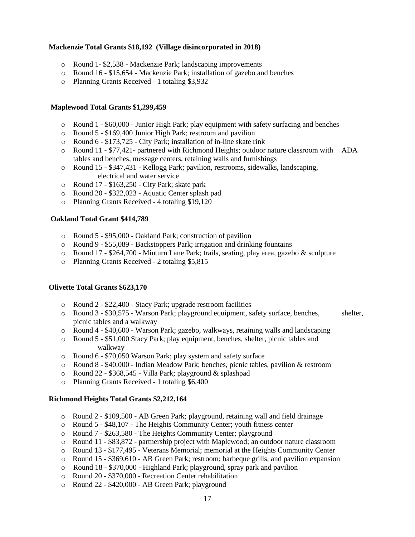### **Mackenzie Total Grants \$18,192 (Village disincorporated in 2018)**

- o Round 1- \$2,538 Mackenzie Park; landscaping improvements
- o Round 16 \$15,654 Mackenzie Park; installation of gazebo and benches
- o Planning Grants Received 1 totaling \$3,932

#### **Maplewood Total Grants \$1,299,459**

- $\circ$  Round 1 \$60,000 Junior High Park; play equipment with safety surfacing and benches
- o Round 5 \$169,400 Junior High Park; restroom and pavilion
- o Round 6 \$173,725 City Park; installation of in-line skate rink
- o Round 11 \$77,421- partnered with Richmond Heights; outdoor nature classroom with ADA tables and benches, message centers, retaining walls and furnishings
- o Round 15 \$347,431 Kellogg Park; pavilion, restrooms, sidewalks, landscaping, electrical and water service
- o Round 17 \$163,250 City Park; skate park
- o Round 20 \$322,023 Aquatic Center splash pad
- o Planning Grants Received 4 totaling \$19,120

#### **Oakland Total Grant \$414,789**

- o Round 5 \$95,000 Oakland Park; construction of pavilion
- o Round 9 \$55,089 Backstoppers Park; irrigation and drinking fountains
- o Round 17 \$264,700 Minturn Lane Park; trails, seating, play area, gazebo & sculpture
- o Planning Grants Received 2 totaling \$5,815

# **Olivette Total Grants \$623,170**

- o Round 2 \$22,400 Stacy Park; upgrade restroom facilities
- o Round 3 \$30,575 Warson Park; playground equipment, safety surface, benches, shelter, picnic tables and a walkway
- o Round 4 \$40,600 Warson Park; gazebo, walkways, retaining walls and landscaping
- o Round 5 \$51,000 Stacy Park; play equipment, benches, shelter, picnic tables and walkway
- o Round 6 \$70,050 Warson Park; play system and safety surface
- o Round 8 \$40,000 Indian Meadow Park; benches, picnic tables, pavilion & restroom
- o Round 22 \$368,545 Villa Park; playground & splashpad
- o Planning Grants Received 1 totaling \$6,400

#### **Richmond Heights Total Grants \$2,212,164**

- o Round 2 \$109,500 AB Green Park; playground, retaining wall and field drainage
- o Round 5 \$48,107 The Heights Community Center; youth fitness center
- o Round 7 \$263,580 The Heights Community Center; playground
- o Round 11 \$83,872 partnership project with Maplewood; an outdoor nature classroom
- o Round 13 \$177,495 Veterans Memorial; memorial at the Heights Community Center
- o Round 15 \$369,610 AB Green Park; restroom; barbeque grills, and pavilion expansion
- $\circ$  Round 18 \$370,000 Highland Park; playground, spray park and pavilion
- o Round 20 \$370,000 Recreation Center rehabilitation
- o Round 22 \$420,000 AB Green Park; playground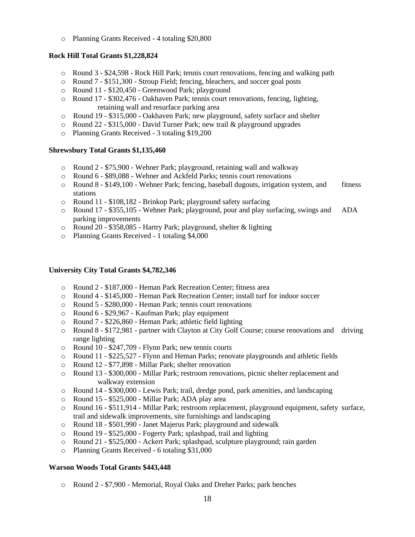o Planning Grants Received - 4 totaling \$20,800

# **Rock Hill Total Grants \$1,228,824**

- o Round 3 \$24,598 Rock Hill Park; tennis court renovations, fencing and walking path
- o Round 7 \$151,300 Stroup Field; fencing, bleachers, and soccer goal posts
- o Round 11 \$120,450 Greenwood Park; playground
- o Round 17 \$302,476 Oakhaven Park; tennis court renovations, fencing, lighting, retaining wall and resurface parking area
- o Round 19 \$315,000 Oakhaven Park; new playground, safety surface and shelter
- o Round 22 \$315,000 David Turner Park; new trail & playground upgrades
- o Planning Grants Received 3 totaling \$19,200

# **Shrewsbury Total Grants \$1,135,460**

- o Round 2 \$75,900 Wehner Park; playground, retaining wall and walkway
- o Round 6 \$89,088 Wehner and Ackfeld Parks; tennis court renovations
- $\circ$  Round 8 \$149,100 Wehner Park; fencing, baseball dugouts, irrigation system, and fitness stations
- o Round 11 \$108,182 Brinkop Park; playground safety surfacing
- o Round 17 \$355,105 Wehner Park; playground, pour and play surfacing, swings and ADA parking improvements
- o Round 20 \$358,085 Hartry Park; playground, shelter & lighting
- o Planning Grants Received 1 totaling \$4,000

# **University City Total Grants \$4,782,346**

- o Round 2 \$187,000 Heman Park Recreation Center; fitness area
- o Round 4 \$145,000 Heman Park Recreation Center; install turf for indoor soccer
- o Round 5 \$280,000 Heman Park; tennis court renovations
- o Round 6 \$29,967 Kaufman Park; play equipment
- o Round 7 \$226,860 Heman Park; athletic field lighting
- o Round 8 \$172,981 partner with Clayton at City Golf Course; course renovations and driving range lighting
- o Round 10 \$247,709 Flynn Park; new tennis courts
- o Round 11 \$225,527 Flynn and Heman Parks; renovate playgrounds and athletic fields
- o Round 12 \$77,898 Millar Park; shelter renovation
- o Round 13 \$300,000 Millar Park; restroom renovations, picnic shelter replacement and walkway extension
- o Round 14 \$300,000 Lewis Park; trail, dredge pond, park amenities, and landscaping
- o Round 15 \$525,000 Millar Park; ADA play area
- o Round 16 \$511,914 Millar Park; restroom replacement, playground equipment, safety surface, trail and sidewalk improvements, site furnishings and landscaping
- o Round 18 \$501,990 Janet Majerus Park; playground and sidewalk
- o Round 19 \$525,000 Fogerty Park; splashpad, trail and lighting
- o Round 21 \$525,000 Ackert Park; splashpad, sculpture playground; rain garden
- o Planning Grants Received 6 totaling \$31,000

# **Warson Woods Total Grants \$443,448**

o Round 2 - \$7,900 - Memorial, Royal Oaks and Dreher Parks; park benches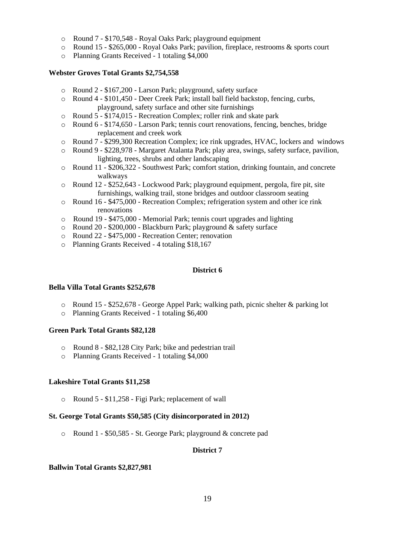- o Round 7 \$170,548 Royal Oaks Park; playground equipment
- o Round 15 \$265,000 Royal Oaks Park; pavilion, fireplace, restrooms & sports court
- o Planning Grants Received 1 totaling \$4,000

### **Webster Groves Total Grants \$2,754,558**

- o Round 2 \$167,200 Larson Park; playground, safety surface
- o Round 4 \$101,450 Deer Creek Park; install ball field backstop, fencing, curbs, playground, safety surface and other site furnishings
- o Round 5 \$174,015 Recreation Complex; roller rink and skate park
- o Round 6 \$174,650 Larson Park; tennis court renovations, fencing, benches, bridge replacement and creek work
- o Round 7 \$299,300 Recreation Complex; ice rink upgrades, HVAC, lockers and windows
- o Round 9 \$228,978 Margaret Atalanta Park; play area, swings, safety surface, pavilion, lighting, trees, shrubs and other landscaping
- o Round 11 \$206,322 Southwest Park; comfort station, drinking fountain, and concrete walkways
- o Round 12 \$252,643 Lockwood Park; playground equipment, pergola, fire pit, site furnishings, walking trail, stone bridges and outdoor classroom seating
- o Round 16 \$475,000 Recreation Complex; refrigeration system and other ice rink renovations
- o Round 19 \$475,000 Memorial Park; tennis court upgrades and lighting
- o Round 20 \$200,000 Blackburn Park; playground & safety surface
- o Round 22 \$475,000 Recreation Center; renovation
- o Planning Grants Received 4 totaling \$18,167

#### **District 6**

#### **Bella Villa Total Grants \$252,678**

- o Round 15 \$252,678 George Appel Park; walking path, picnic shelter & parking lot
- o Planning Grants Received 1 totaling \$6,400

#### **Green Park Total Grants \$82,128**

- o Round 8 \$82,128 City Park; bike and pedestrian trail
- o Planning Grants Received 1 totaling \$4,000

#### **Lakeshire Total Grants \$11,258**

o Round 5 - \$11,258 - Figi Park; replacement of wall

# **St. George Total Grants \$50,585 (City disincorporated in 2012)**

o Round 1 - \$50,585 - St. George Park; playground & concrete pad

#### **District 7**

#### **Ballwin Total Grants \$2,827,981**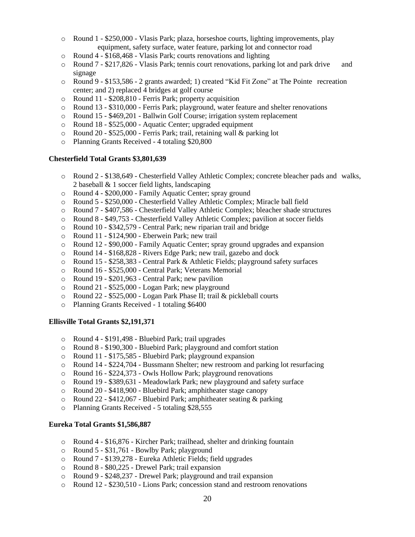- o Round 1 \$250,000 Vlasis Park; plaza, horseshoe courts, lighting improvements, play equipment, safety surface, water feature, parking lot and connector road
- o Round 4 \$168,468 Vlasis Park; courts renovations and lighting
- $\circ$  Round 7 \$217,826 Vlasis Park; tennis court renovations, parking lot and park drive and signage
- o Round 9 \$153,586 2 grants awarded; 1) created "Kid Fit Zone" at The Pointe recreation center; and 2) replaced 4 bridges at golf course
- o Round 11 \$208,810 Ferris Park; property acquisition
- o Round 13 \$310,000 Ferris Park; playground, water feature and shelter renovations
- o Round 15 \$469,201 Ballwin Golf Course; irrigation system replacement
- o Round 18 \$525,000 Aquatic Center; upgraded equipment
- o Round 20 \$525,000 Ferris Park; trail, retaining wall & parking lot
- o Planning Grants Received 4 totaling \$20,800

#### **Chesterfield Total Grants \$3,801,639**

- o Round 2 \$138,649 Chesterfield Valley Athletic Complex; concrete bleacher pads and walks, 2 baseball & 1 soccer field lights, landscaping
- o Round 4 \$200,000 Family Aquatic Center; spray ground
- o Round 5 \$250,000 Chesterfield Valley Athletic Complex; Miracle ball field
- o Round 7 \$407,586 Chesterfield Valley Athletic Complex; bleacher shade structures
- o Round 8 \$49,753 Chesterfield Valley Athletic Complex; pavilion at soccer fields
- o Round 10 \$342,579 Central Park; new riparian trail and bridge
- o Round 11 \$124,900 Eberwein Park; new trail
- o Round 12 \$90,000 Family Aquatic Center; spray ground upgrades and expansion
- o Round 14 \$168,828 Rivers Edge Park; new trail, gazebo and dock
- o Round 15 \$258,383 Central Park & Athletic Fields; playground safety surfaces
- o Round 16 \$525,000 Central Park; Veterans Memorial
- o Round 19 \$201,963 Central Park; new pavilion
- o Round 21 \$525,000 Logan Park; new playground
- o Round 22 \$525,000 Logan Park Phase II; trail & pickleball courts
- o Planning Grants Received 1 totaling \$6400

#### **Ellisville Total Grants \$2,191,371**

- o Round 4 \$191,498 Bluebird Park; trail upgrades
- o Round 8 \$190,300 Bluebird Park; playground and comfort station
- o Round 11 \$175,585 Bluebird Park; playground expansion
- o Round 14 \$224,704 Bussmann Shelter; new restroom and parking lot resurfacing
- o Round 16 \$224,373 Owls Hollow Park; playground renovations
- o Round 19 \$389,631 Meadowlark Park; new playground and safety surface
- o Round 20 \$418,900 Bluebird Park; amphitheater stage canopy
- o Round 22 \$412,067 Bluebird Park; amphitheater seating & parking
- o Planning Grants Received 5 totaling \$28,555

#### **Eureka Total Grants \$1,586,887**

- o Round 4 \$16,876 Kircher Park; trailhead, shelter and drinking fountain
- o Round 5 \$31,761 Bowlby Park; playground
- o Round 7 \$139,278 Eureka Athletic Fields; field upgrades
- o Round 8 \$80,225 Drewel Park; trail expansion
- o Round 9 \$248,237 Drewel Park; playground and trail expansion
- o Round 12 \$230,510 Lions Park; concession stand and restroom renovations